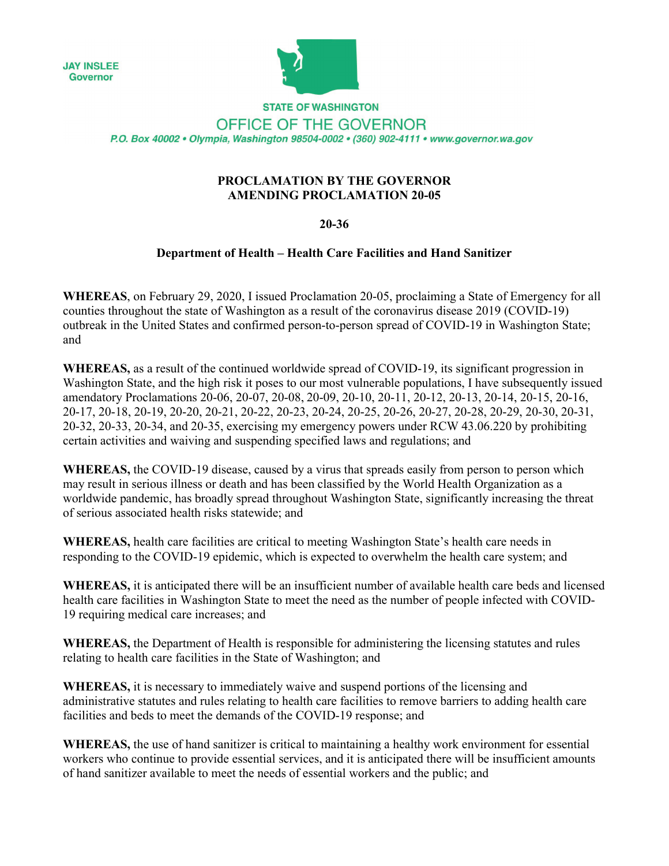**JAY INSLEE** Governor



**STATE OF WASHINGTON** OFFICE OF THE GOVERNOR P.O. Box 40002 · Olympia, Washington 98504-0002 · (360) 902-4111 · www.governor.wa.gov

## **PROCLAMATION BY THE GOVERNOR AMENDING PROCLAMATION 20-05**

## **20-36**

## **Department of Health – Health Care Facilities and Hand Sanitizer**

**WHEREAS**, on February 29, 2020, I issued Proclamation 20-05, proclaiming a State of Emergency for all counties throughout the state of Washington as a result of the coronavirus disease 2019 (COVID-19) outbreak in the United States and confirmed person-to-person spread of COVID-19 in Washington State; and

**WHEREAS,** as a result of the continued worldwide spread of COVID-19, its significant progression in Washington State, and the high risk it poses to our most vulnerable populations, I have subsequently issued amendatory Proclamations 20-06, 20-07, 20-08, 20-09, 20-10, 20-11, 20-12, 20-13, 20-14, 20-15, 20-16, 20-17, 20-18, 20-19, 20-20, 20-21, 20-22, 20-23, 20-24, 20-25, 20-26, 20-27, 20-28, 20-29, 20-30, 20-31, 20-32, 20-33, 20-34, and 20-35, exercising my emergency powers under RCW 43.06.220 by prohibiting certain activities and waiving and suspending specified laws and regulations; and

**WHEREAS,** the COVID-19 disease, caused by a virus that spreads easily from person to person which may result in serious illness or death and has been classified by the World Health Organization as a worldwide pandemic, has broadly spread throughout Washington State, significantly increasing the threat of serious associated health risks statewide; and

**WHEREAS,** health care facilities are critical to meeting Washington State's health care needs in responding to the COVID-19 epidemic, which is expected to overwhelm the health care system; and

**WHEREAS,** it is anticipated there will be an insufficient number of available health care beds and licensed health care facilities in Washington State to meet the need as the number of people infected with COVID-19 requiring medical care increases; and

**WHEREAS,** the Department of Health is responsible for administering the licensing statutes and rules relating to health care facilities in the State of Washington; and

**WHEREAS,** it is necessary to immediately waive and suspend portions of the licensing and administrative statutes and rules relating to health care facilities to remove barriers to adding health care facilities and beds to meet the demands of the COVID-19 response; and

**WHEREAS,** the use of hand sanitizer is critical to maintaining a healthy work environment for essential workers who continue to provide essential services, and it is anticipated there will be insufficient amounts of hand sanitizer available to meet the needs of essential workers and the public; and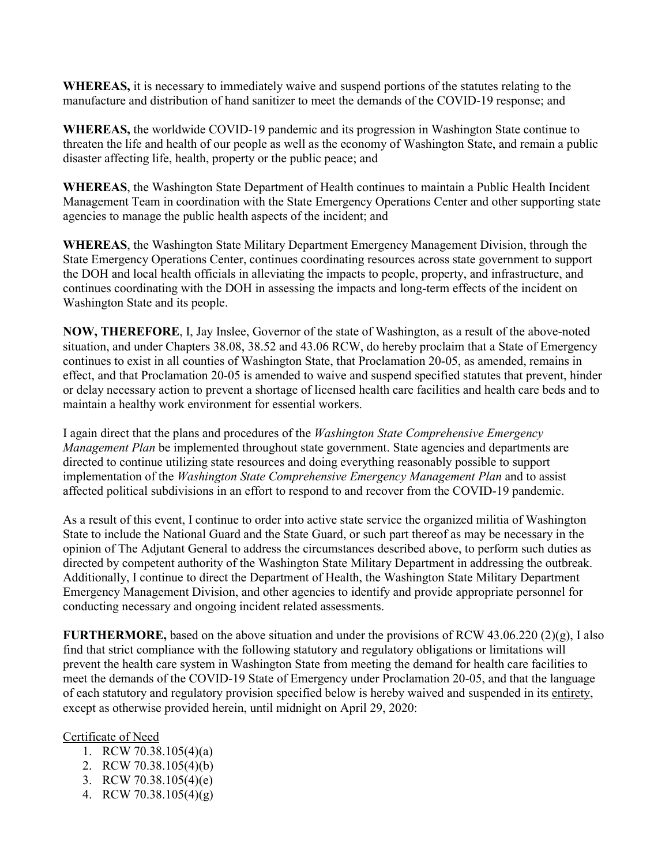**WHEREAS,** it is necessary to immediately waive and suspend portions of the statutes relating to the manufacture and distribution of hand sanitizer to meet the demands of the COVID-19 response; and

**WHEREAS,** the worldwide COVID-19 pandemic and its progression in Washington State continue to threaten the life and health of our people as well as the economy of Washington State, and remain a public disaster affecting life, health, property or the public peace; and

**WHEREAS**, the Washington State Department of Health continues to maintain a Public Health Incident Management Team in coordination with the State Emergency Operations Center and other supporting state agencies to manage the public health aspects of the incident; and

**WHEREAS**, the Washington State Military Department Emergency Management Division, through the State Emergency Operations Center, continues coordinating resources across state government to support the DOH and local health officials in alleviating the impacts to people, property, and infrastructure, and continues coordinating with the DOH in assessing the impacts and long-term effects of the incident on Washington State and its people.

**NOW, THEREFORE**, I, Jay Inslee, Governor of the state of Washington, as a result of the above-noted situation, and under Chapters 38.08, 38.52 and 43.06 RCW, do hereby proclaim that a State of Emergency continues to exist in all counties of Washington State, that Proclamation 20-05, as amended, remains in effect, and that Proclamation 20-05 is amended to waive and suspend specified statutes that prevent, hinder or delay necessary action to prevent a shortage of licensed health care facilities and health care beds and to maintain a healthy work environment for essential workers.

I again direct that the plans and procedures of the *Washington State Comprehensive Emergency Management Plan* be implemented throughout state government. State agencies and departments are directed to continue utilizing state resources and doing everything reasonably possible to support implementation of the *Washington State Comprehensive Emergency Management Plan* and to assist affected political subdivisions in an effort to respond to and recover from the COVID-19 pandemic.

As a result of this event, I continue to order into active state service the organized militia of Washington State to include the National Guard and the State Guard, or such part thereof as may be necessary in the opinion of The Adjutant General to address the circumstances described above, to perform such duties as directed by competent authority of the Washington State Military Department in addressing the outbreak. Additionally, I continue to direct the Department of Health, the Washington State Military Department Emergency Management Division, and other agencies to identify and provide appropriate personnel for conducting necessary and ongoing incident related assessments.

**FURTHERMORE,** based on the above situation and under the provisions of RCW 43.06.220 (2)(g), I also find that strict compliance with the following statutory and regulatory obligations or limitations will prevent the health care system in Washington State from meeting the demand for health care facilities to meet the demands of the COVID-19 State of Emergency under Proclamation 20-05, and that the language of each statutory and regulatory provision specified below is hereby waived and suspended in its entirety, except as otherwise provided herein, until midnight on April 29, 2020:

## Certificate of Need

- 1. RCW 70.38.105(4)(a)
- 2. RCW 70.38.105(4)(b)
- 3. RCW 70.38.105(4)(e)
- 4. RCW 70.38.105(4)(g)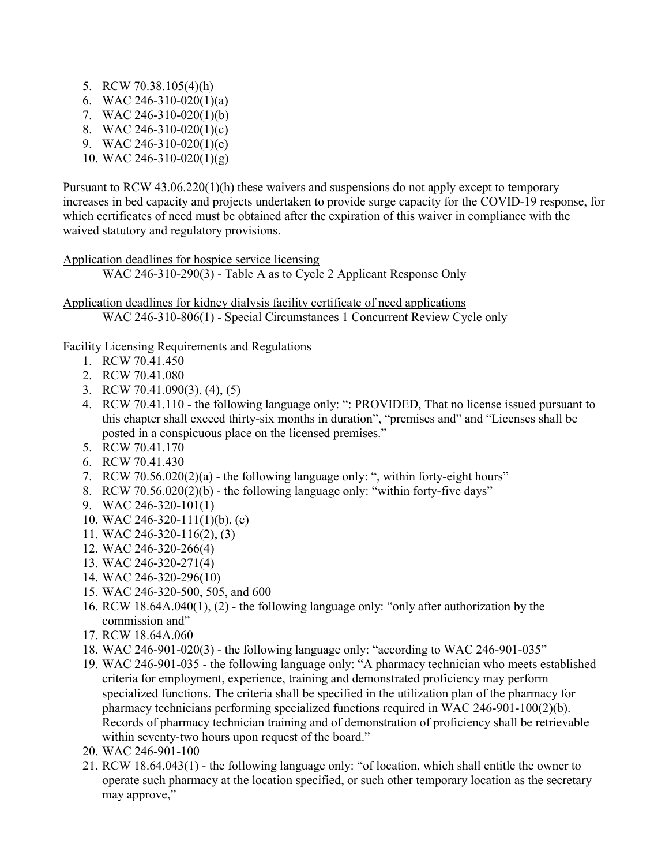- 5. RCW 70.38.105(4)(h)
- 6. WAC 246-310-020(1)(a)
- 7. WAC 246-310-020(1)(b)
- 8. WAC 246-310-020(1)(c)
- 9. WAC 246-310-020(1)(e)
- 10. WAC 246-310-020(1)(g)

Pursuant to RCW 43.06.220(1)(h) these waivers and suspensions do not apply except to temporary increases in bed capacity and projects undertaken to provide surge capacity for the COVID-19 response, for which certificates of need must be obtained after the expiration of this waiver in compliance with the waived statutory and regulatory provisions.

Application deadlines for hospice service licensing WAC 246-310-290(3) - Table A as to Cycle 2 Applicant Response Only

Application deadlines for kidney dialysis facility certificate of need applications WAC 246-310-806(1) - Special Circumstances 1 Concurrent Review Cycle only

Facility Licensing Requirements and Regulations

- 1. RCW 70.41.450
- 2. RCW 70.41.080
- 3. RCW 70.41.090(3), (4), (5)
- 4. RCW 70.41.110 the following language only: ": PROVIDED, That no license issued pursuant to this chapter shall exceed thirty-six months in duration", "premises and" and "Licenses shall be posted in a conspicuous place on the licensed premises."
- 5. RCW 70.41.170
- 6. RCW 70.41.430
- 7. RCW 70.56.020(2)(a) the following language only: ", within forty-eight hours"
- 8. RCW 70.56.020(2)(b) the following language only: "within forty-five days"
- 9. WAC 246-320-101(1)
- 10. WAC 246-320-111(1)(b), (c)
- 11. WAC 246-320-116(2), (3)
- 12. WAC 246-320-266(4)
- 13. WAC 246-320-271(4)
- 14. WAC 246-320-296(10)
- 15. WAC 246-320-500, 505, and 600
- 16. RCW 18.64A.040(1), (2) the following language only: "only after authorization by the commission and"
- 17. RCW 18.64A.060
- 18. WAC 246-901-020(3) the following language only: "according to WAC 246-901-035"
- 19. WAC 246-901-035 the following language only: "A pharmacy technician who meets established criteria for employment, experience, training and demonstrated proficiency may perform specialized functions. The criteria shall be specified in the utilization plan of the pharmacy for pharmacy technicians performing specialized functions required in WAC 246-901-100(2)(b). Records of pharmacy technician training and of demonstration of proficiency shall be retrievable within seventy-two hours upon request of the board."
- 20. WAC 246-901-100
- 21. RCW 18.64.043(1) the following language only: "of location, which shall entitle the owner to operate such pharmacy at the location specified, or such other temporary location as the secretary may approve,"